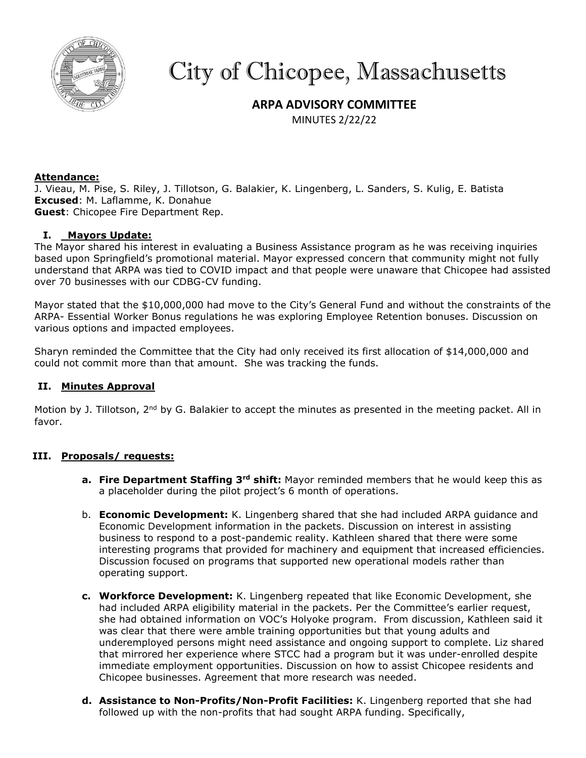

# City of Chicopee, Massachusetts

# **ARPA ADVISORY COMMITTEE**

MINUTES 2/22/22

# **Attendance:**

J. Vieau, M. Pise, S. Riley, J. Tillotson, G. Balakier, K. Lingenberg, L. Sanders, S. Kulig, E. Batista **Excused**: M. Laflamme, K. Donahue **Guest**: Chicopee Fire Department Rep.

# **I. Mayors Update:**

The Mayor shared his interest in evaluating a Business Assistance program as he was receiving inquiries based upon Springfield's promotional material. Mayor expressed concern that community might not fully understand that ARPA was tied to COVID impact and that people were unaware that Chicopee had assisted over 70 businesses with our CDBG-CV funding.

Mayor stated that the \$10,000,000 had move to the City's General Fund and without the constraints of the ARPA- Essential Worker Bonus regulations he was exploring Employee Retention bonuses. Discussion on various options and impacted employees.

Sharyn reminded the Committee that the City had only received its first allocation of \$14,000,000 and could not commit more than that amount. She was tracking the funds.

#### **II. Minutes Approval**

Motion by J. Tillotson, 2<sup>nd</sup> by G. Balakier to accept the minutes as presented in the meeting packet. All in favor.

#### **III. Proposals/ requests:**

- **a. Fire Department Staffing 3rd shift:** Mayor reminded members that he would keep this as a placeholder during the pilot project's 6 month of operations.
- b. **Economic Development:** K. Lingenberg shared that she had included ARPA guidance and Economic Development information in the packets. Discussion on interest in assisting business to respond to a post-pandemic reality. Kathleen shared that there were some interesting programs that provided for machinery and equipment that increased efficiencies. Discussion focused on programs that supported new operational models rather than operating support.
- **c. Workforce Development:** K. Lingenberg repeated that like Economic Development, she had included ARPA eligibility material in the packets. Per the Committee's earlier request, she had obtained information on VOC's Holyoke program. From discussion, Kathleen said it was clear that there were amble training opportunities but that young adults and underemployed persons might need assistance and ongoing support to complete. Liz shared that mirrored her experience where STCC had a program but it was under-enrolled despite immediate employment opportunities. Discussion on how to assist Chicopee residents and Chicopee businesses. Agreement that more research was needed.
- **d. Assistance to Non-Profits/Non-Profit Facilities:** K. Lingenberg reported that she had followed up with the non-profits that had sought ARPA funding. Specifically,